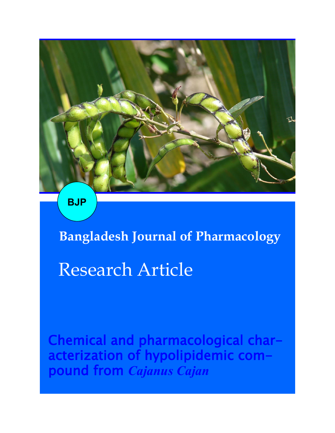**BJP**

**Bangladesh Journal of Pharmacology** 

# Research Article

Chemical and pharmacological characterization of hypolipidemic compound from *Cajanus Cajan*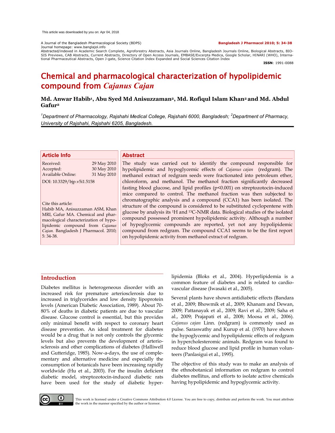A Journal of the Bangladesh Pharmacological Society (BDPS) **Bangladesh J Pharmacol 2010; 5: 34-38** Journal homepage: www.banglajol.info

Abstracted/indexed in Academic Search Complete, Agroforestry Abstracts, Asia Journals Online, Bangladesh Journals Online, Biological Abstracts, BIO-<br>SIS Previews, CAB Abstracts, Current Abstracts, Directory of Open Access tional Pharmaceutical Abstracts, Open J-gate, Science Citation Index Expanded and Social Sciences Citation Index

**ISSN**: 1991-0088

## Chemical and pharmacological characterization of hypolipidemic compound from *Cajanus Cajan*

#### **Md. Anwar Habib<sup>1</sup> , Abu Syed Md Anisuzzaman2, Md. Rofiqul Islam Khan2 and Md. Abdul Gafur<sup>2</sup>**

*<sup>1</sup>Department of Pharmacology, Rajshahi Medical College, Rajshahi 6000, Bangladesh; <sup>2</sup>Department of Pharmacy, University of Rajshahi, Rajshahi 6205, Bangladesh.*

| <b>Article Info</b>                                                                                                                                                                                                                                        | <b>Abstract</b>                                                                                                                                                                                                                                                                                                                                                                                                                                                                                                                                                                                                                                                                                                                                                                             |
|------------------------------------------------------------------------------------------------------------------------------------------------------------------------------------------------------------------------------------------------------------|---------------------------------------------------------------------------------------------------------------------------------------------------------------------------------------------------------------------------------------------------------------------------------------------------------------------------------------------------------------------------------------------------------------------------------------------------------------------------------------------------------------------------------------------------------------------------------------------------------------------------------------------------------------------------------------------------------------------------------------------------------------------------------------------|
| 29 May 2010<br>Received:<br>30 May 2010<br>Accepted:<br><b>Available Online:</b><br>31 May 2010                                                                                                                                                            | The study was carried out to identify the compound responsible for<br>hypolipidemic and hypoglycemic effects of Cajanus cajan (redgram). The<br>methanol extract of redgram seeds were fractionated into petroleum ether,                                                                                                                                                                                                                                                                                                                                                                                                                                                                                                                                                                   |
| DOI: 10.3329/bjp.v5i1.5158<br>Cite this article:<br>Habib MA, Anisuzzaman ASM, Khan<br>MRI, Gafur MA. Chemical and phar-<br>macological characterization of hypo-<br>lipidemic compound from Cajanus<br>Cajan. Bangladesh J Pharmacol. 2010;<br>$5:34-38.$ | chloroform, and methanol. The methanol fraction significantly decreased<br>fasting blood glucose, and lipid profiles (p<0.001) on streptozotocin-induced<br>mice compared to control. The methanol fraction was then subjected to<br>chromatographic analysis and a compound (CCA1) has been isolated. The<br>structure of the compound is considered to be substituted cyclopentene with<br>glucose by analysis its <sup>1</sup> H and <sup>13</sup> C-NMR data. Biological studies of the isolated<br>compound possessed prominent hypolipidemic activity. Although a number<br>of hypoglycemic compounds are reported, yet not any hypolipidemic<br>compound from redgram. The compound CCA1 seems to be the first report<br>on hypolipidemic activity from methanol extract of redgram. |

#### **Introduction**

Diabetes mellitus is heterogeneous disorder with an increased risk for premature arteriosclerosis due to increased in triglycerides and low density lipoprotein levels (American Diabetic Association, 1989). About 70- 80% of deaths in diabetic patients are due to vascular disease. Glucose control is essential, but this provides only minimal benefit with respect to coronary heart disease prevention. An ideal treatment for diabetes would be a drug that is not only controls the glycemic levels but also prevents the development of arteriosclerosis and other complications of diabetes (Halliwell and Gutteridge, 1985). Now-a-days, the use of complementary and alternative medicine and especially the consumption of botanicals have been increasing rapidly worldwide (Hu et al., 2003). For the insulin deficient diabetic model, streptozotocin-induced diabetic rats have been used for the study of diabetic hyper-

lipidemia (Bloks et al., 2004). Hyperlipidemia is a common feature of diabetes and is related to cardiovascular disease (Iwasaki et al., 2005).

Several plants have shown antidiabetic effects (Bandara et al., 2009; Bhowmik et al., 2009; Khanam and Dewan, 2009; Pattanayak et al., 2009; Ravi et al., 2009; Saha et al., 2009; Prajapati et al., 2008; Moosa et al., 2006). *Cajanus cajan* Linn. (redgram) is commonly used as pulse. Saraswathy and Kurup et al. (1970) have shown the hypoglycemic and hypolipidemic effects of redgram in hypercholesteromic animals. Redgram was found to reduce blood glucose and lipid profile in human volunteers (Panlasigui et al., 1995).

The objective of this study was to make an analysis of the ethnobotanical information on redgram to control diabetes mellitus, and efforts to isolate active chemicals having hypolipidemic and hypoglycemic activity.



This work is licensed under a Creative Commons Attribution 4.0 License. You are free to copy, distribute and perform the work. You must attribute the work in the manner specified by the author or licensor.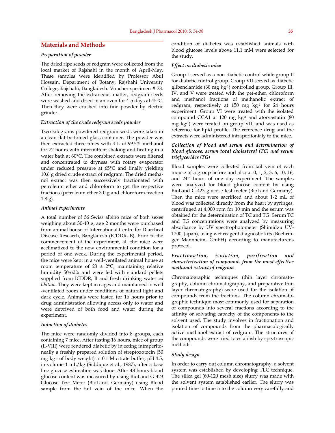### **Materials and Methods**

#### *Preparation of powder*

The dried ripe seeds of redgram were collected from the local market of Rajshahi in the month of April-May. These samples were identified by Professor Abul Hossain, Department of Botany, Rajshahi University College, Rajshahi, Bangladesh. Voucher specimen # 78. After removing the extraneous matter, redgram seeds were washed and dried in an oven for 4-5 days at 45°C. Then they were crushed into fine powder by electric grinder.

#### *Extraction of the crude redgram seeds powder*

Two kilograms powdered redgram seeds were taken in a clean flat-bottomed glass container. The powder was then extracted three times with 4 L of 99.5% methanol for 72 hours with intermittent shaking and heating in a water bath at 60°C. The combined extracts were filtered and concentrated to dryness with rotary evaporator under reduced pressure at 65°C and finally yielding 10.6 g dried crude extract of redgram. The dried methanol extract was then successively fractionated with petroleum ether and chloroform to get the respective fractions (petroleum ether 3.0 g and chloroform fraction 1.8 g).

#### *Animal experiments*

A total number of 56 Swiss albino mice of both sexes weighing about 30-40 g, age 2 months were purchased from animal house of International Centre for Diarrheal Disease Research, Bangladesh (ICDDR, B). Prior to the commencement of the experiment, all the mice were acclimatized to the new environmental condition for a period of one week. During the experimental period, the mice were kept in a well-ventilated animal house at room temperature of  $23 \pm 2$ °C, maintaining relative humidity 50-60% and were fed with standard pellets supplied from ICDDR, B and fresh drinking water *ad libitum*. They were kept in cages and maintained in well -ventilated room under conditions of natural light and dark cycle. Animals were fasted for 16 hours prior to drug administration allowing access only to water and were deprived of both food and water during the experiment.

#### *Induction of diabetes*

The mice were randomly divided into 8 groups, each containing 7 mice. After fasting 16 hours, mice of group (II-VIII) were rendered diabetic by injecting intraperitoneally a freshly prepared solution of streptozotocin (50 mg kg-1 of body weight) in 0.1 M citrate buffer, pH 4.5, in volume 1 mL/kg (Siddique et al., 1987), after a base line glucose estimation was done. After 48 hours blood glucose content was measured by using BioLand G-423 Glucose Test Meter (BioLand, Germany) using Blood sample from the tail vein of the mice. When the

condition of diabetes was established animals with blood glucose levels above 11.1 mM were selected for the study.

#### *Effect on diabetic mice*

Group I served as a non-diabetic control while group II for diabetic control group. Group VII served as diabetic glibenclamide (60 mg kg-1) controlled group. Group III, IV, and V were treated with the pet-ether, chloroform and methanol fractions of methanolic extract of redgram, respectively at 150 mg kg-1 for 24 hours experiment. Group VI were treated with the isolated compound CCA1 at 120 mg kg-1 and atorvastatin (80 mg kg-1) were treated on group VIII and was used as reference for lipid profile. The reference drug and the extracts were administered intraperitonialy to the mice.

#### *Collection of blood and serum and determination of blood glucose, serum total cholesterol (TC) and serum triglycerides (TG)*

Blood samples were collected from tail vein of each mouse of a group before and also at 0, 1, 2, 3, 6, 10, 16, and 24th hours of one day experiment. The samples were analyzed for blood glucose content by using BioLand G-423 glucose test meter (BioLand Germany). Then the mice were sacrificed and about 1-2 mL of blood was collected directly from the heart by syringes, centrifuged at 4,000 rpm for 10 min and the serum was obtained for the determination of TC and TG. Serum TC and TG concentrations were analyzed by measuring absorbance by UV spectrophotometer (Shimidzu UV-1200, Japan), using wet reagent diagnostic kits (Boehringer Mannheim, GmbH) according to manufacturer's protocol.

#### *Fractionation, isolation, purification and characterization of compounds from the most effective methanol extract of redgram*

Chromatographic techniques (thin layer chromatography, column chromatography, and preparative thin layer chromatography) were used for the isolation of compounds from the fractions. The column chromatographic technique most commonly used for separation of compounds into several fractions according to the affinity or solvating capacity of the components to the solvent used. The study involves in fractionation and isolation of compounds from the pharmacologically active methanol extract of redgram. The structures of the compounds were tried to establish by spectroscopic methods.

#### *Study design*

In order to carry out column chromatography, a solvent system was established by developing TLC technique. The silica gel (60-120 mesh size) slurry was made with the solvent system established earlier. The slurry was poured time to time into the column very carefully and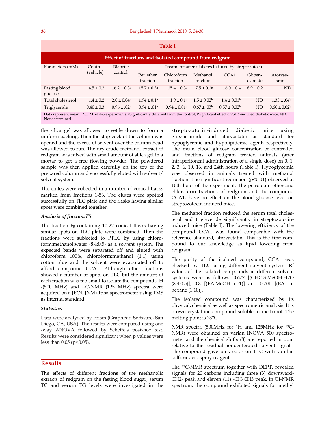| <b>Table I</b>                                                                                                                                                                              |                      |                            |                                                    |                        |                            |                         |                    |                   |  |  |
|---------------------------------------------------------------------------------------------------------------------------------------------------------------------------------------------|----------------------|----------------------------|----------------------------------------------------|------------------------|----------------------------|-------------------------|--------------------|-------------------|--|--|
| Effect of fractions and isolated compound from redgram                                                                                                                                      |                      |                            |                                                    |                        |                            |                         |                    |                   |  |  |
| Parameters (mM)                                                                                                                                                                             | Control<br>(vehicle) | <b>Diabetic</b><br>control | Treatment after diabetes induced by streptozotocin |                        |                            |                         |                    |                   |  |  |
|                                                                                                                                                                                             |                      |                            | Pet. ether<br>fraction                             | Chloroform<br>fraction | Methanol<br>fraction       | CCA1                    | Gliben-<br>clamide | Atorvas-<br>tatin |  |  |
| Fasting blood<br>glucose                                                                                                                                                                    | $4.5 \pm 0.2$        | $16.2 \pm 0.3^{\text{a}}$  | $15.7 \pm 0.3^{\circ}$                             | $15.4 \pm 0.3^{\circ}$ | $7.5 \pm 0.1$ <sup>b</sup> | $16.0 \pm 0.4$          | $8.9 \pm 0.2$      | ND                |  |  |
| Total cholesterol                                                                                                                                                                           | $1.4 \pm 0.2$        | $2.0 \pm 0.04a$            | $1.94 \pm 0.1a$                                    | $1.9 \pm 0.1a$         | $1.5 \pm 0.02^b$           | $1.4 \pm 0.01b$         | <b>ND</b>          | $1.35 \pm .04^b$  |  |  |
| Triglyceride                                                                                                                                                                                | $0.40 \pm 0.3$       | $0.96 \pm .02^{\rm a}$     | $0.94 \pm .01$ <sup>a</sup>                        | $0.94 \pm 0.01a$       | $0.67 \pm .03b$            | $0.57 \pm 0.02^{\rm b}$ | ND                 | $0.60 \pm 0.02$   |  |  |
| Data represent mean ± S.E.M. of 4-6 experiments. <sup>a</sup> Significantly different from the control; <sup>b</sup> Significant effect on STZ-induced diabetic mice; ND:<br>Not determined |                      |                            |                                                    |                        |                            |                         |                    |                   |  |  |

the silica gel was allowed to settle down to form a uniform packing. Then the stop-cock of the column was opened and the excess of solvent over the column head was allowed to run. The dry crude methanol extract of redgram was mixed with small amount of silica gel in a mortar to get a free flowing powder. The powdered sample was then applied carefully on the top of the prepared column and successfully eluted with solvent/ solvent system.

The elutes were collected in a number of conical flasks marked from fractions 1-53. The elutes were spotted successfully on TLC plate and the flasks having similar spots were combined together.

#### *Analysis of fraction F5*

The fraction F5 containing 10-22 conical flasks having similar spots on TLC plate were combined. Then the fractions were subjected to PTLC by using chloroform:methanol:water (8:4:0.5) as a solvent system. The expected bands were separated off and eluted with chloroform 100%, chloroform:methanol (1:1) using cotton plug and the solvent were evaporated off to afford compound CCA1. Although other fractions showed a number of spots on TLC but the amount of each fraction was too small to isolate the compounds. H -(500 MHz) and 13C-NMR (125 MHz) spectra were acquired on a JEOL JNM alpha spectrometer using TMS as internal standard.

#### *Statistics*

Data were analyzed by Prism (GraphPad Software, San Diego, CA, USA). The results were compared using one -way ANOVA followed by Scheffe's post-hoc test. Results were considered significant when p values were less than  $0.05$  ( $p<0.05$ ).

#### **Results**

The effects of different fractions of the methanolic extracts of redgram on the fasting blood sugar, serum TC and serum TG levels were investigated in the streptozotocin-induced diabetic mice using glibenclamide and atorvastatin as standard for hypoglycemic and hypolipidemic agent, respectively. The mean blood glucose concentration of controlled and fractions of redgram treated animals (after intraperitoneal administration of a single dose) on 0, 1, 2, 3, 6, 10, 16, and 24th hours (Table I). Hypoglycemia was observed in animals treated with methanol fraction. The significant reduction (p<0.01) observed at 10th hour of the experiment. The petroleum ether and chloroform fractions of redgram and the compound CCA1, have no effect on the blood glucose level on streptozotocin-induced mice.

The methanol fraction reduced the serum total cholesterol and triglyceride significantly in streptozotocininduced mice (Table I). The lowering efficiency of the compound CCA1 was found comparable with the reference standard, atorvastatin. This is the first compound to our knowledge as lipid lowering from redgram.

The purity of the isolated compound, CCA1 was checked by TLC using different solvent system. Rf values of the isolated compounds in different solvent systems were as follows: 0.677 [(CHCl3:MeOH:H2O (8:4:0.5)], 0.8 [(EA:MeOH (1:1)] and 0.701 [(EA: nhexane (1:10)].

The isolated compound was characterized by its physical, chemical as well as spectrometric analysis. It is brown crystalline compound soluble in methanol. The melting point is 73°C.

NMR spectra (500MHz for 1H and 125MHz for 13C-NMR) were obtained on varian INOVA 500 spectrometer and the chemical shifts (8) are reported in ppm relative to the residual nondeuterated solvent signals. The compound gave pink color on TLC with vanillin sulfuric acid spray reagent.

The 13C-NMR spectrum together with DEPT, revealed signals for 20 carbons including three (3) downward-CH2- peak and eleven (11) -CH-CH3 peak. In JH-NMR spectrum, the compound exhibited signals for methyl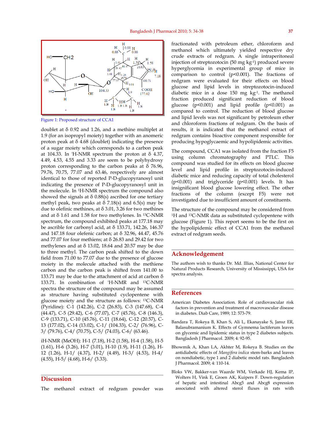

Figure 1: Proposed structure of CCA1

doublet at δ 0.92 and 1.26, and a methine multiplet at 1.9 (for an isopropyl moiety) together with an anomeric proton peak at δ 4.68 (doublet) indicating the presence of a sugar moiety which corresponds to a carbon peak at 104.33. In 'H-NMR spectrum the proton at  $\delta$  4.37, 4.49, 4.53, 4.55 and 3.33 are seem to be polyhydroxy proton corresponding to the carbon peaks at δ 76.96, 79.76, 70.75, 77.07 and 63.46, respectively are almost identical to those of reported P-D-glucopyranosyl unit indicating the presence of P-D-glucopyranosyl unit in the molecule. In 1H-NMR spectrum the compound also showed the signals at  $\delta$  0.88(s) ascribed for one tertiary methyl peak, two peaks at  $\delta$  7.18(s) and 6.5(s) may be due to olefinic methines, at  $\delta$  3.01, 3.26 for two methines and at  $\delta$  1.61 and 1.58 for two methylenes. In <sup>13</sup>C-NMR spectrum, the compound exhibited peaks at 177.18 may be ascrible for carbonyl acid, at δ 133.71, 142.26, 146.37 and 147.18 four olefenic carbon; at δ 32.96, 44.47, 45.76 and 77.07 for four methiens; at δ 26.83 and 29.42 for two methylenes and at  $\delta$  13.02, 18.64 and 20.57 may be due to three methyl. The carbon peak shifted to the down field from 71.00 to 77.07 due to the presence of glucose moiety in the molecule attached with the methiene carbon and the carbon peak is shifted from 141.00 to 133.71 may be due to the attachment of acid at carbon δ 133.71. In combination of 'H-NMR and 13C-NMR spectra the structure of the compound may be assumed as structure having substituted cyclopentene with glucose moiety and the structure as follows: 13C-NMR (Pyridine): C-1 (142.26), C-2 (26.83), C-3 (147.68), C-4 (44.47), C-5 (29.42), C-6 (77.07), C-7 (45.76), C-8 (146.3), C-9 (133.71), C-10 (45.76), C-11 (18.64), C-12 (20.57), C-13 (177.02), C-14 (13.02), C-1/ (104.33), C-2/ (76.96), C-3/ (79.76), C-4/ (70.75), C-5/ (74.03), C-6/ (63.46).

iH-NMR (MeOH): H-1 (7.18), H-2 (1.58), H-4 (1.58), H-5 (1.61), H-6 (3.26), H-7 (3.01), H-10 (1.9), H-11 (1.26), H-12 (1.26), H-1/ (4.37), H-2/ (4.49), H-3/ (4.53), H-4/  $(4.55)$ , H-5/ $(4.68)$ , H-6/ $(3.33)$ .

#### **Discussion**

The methanol extract of redgram powder was

fractionated with petroleum ether, chloroform and methanol which ultimately yielded respective dry crude extracts of redgram. A single intraperitoneal injection of streptozotocin (50 mg kg-1) produced severe hyperglycemia in experimental group of mice in comparison to control (p<0.001). The fractions of redgram were evaluated for their effects on blood glucose and lipid levels in streptozotocin-induced diabetic mice in a dose 150 mg kg-1. The methanol fraction produced significant reduction of blood glucose (p<0.001) and lipid profile (p<0.001) as compared to control. The reduction of blood glucose and lipid levels was not significant by petroleum ether and chloroform fractions of redgram. On the basis of results, it is indicated that the methanol extract of redgram contains bioactive component responsible for producing hypoglycaemic and hypolipidemic activities.

The compound, CCA1 was isolated from the fraction F5 using column chromatography and PTLC. This compound was studied for its effects on blood glucose level and lipid profile in streptozotocin-induced diabetic mice and reducing capacity of total cholesterol (p<0.001) and triglyceride (p<0.001) levels. It has insignificant blood glucose lowering effect. The other fractions of the column (except F5) were not investigated due to insufficient amount of constituents.

The structure of the compound may be considered from <sup>1</sup>H and <sup>13</sup>C-NMR data as substituted cyclopentene with glucose (Figure 1). This report seems to be the first on the hypolipidemic effect of CCA1 from the methanol extract of redgram seeds.

#### **Acknowledgement**

The authors wish to thanks Dr. Md. Illias, National Center for Natural Products Research, University of Mississippi, USA for spectra analysis.

#### **References**

- American Diabetes Association. Role of cardiovascular risk factors in prevention and treatment of macrovascular disease in diabetes. Diab Care, 1989; 12: 573-79.
- Bandara T, Rokeya B, Khan S, Ali L, Ekanayake S, Jansz ER, Balasubramanium K. Effects of Gymnema lactiferum leaves on glycemic and lipidemic status in type 2 diabetes subjects. Bangladesh J Pharmacol. 2009; 4: 92-95.
- Bhowmik A, Khan LA, Akhter M, Rokeya B. Studies on the antidiabetic effects of *Mangifera indica* stem-barks and leaves on nondiabetic, type 1 and 2 diabetic model rats. Bangladesh J Pharmacol. 2009; 4: 110-14.
- Bloks VW, Bakker-van Waarde WM, Verkade HJ, Kema IP, Wolters H, Vink E, Groen AK, Kuipers F. Down-regulation of hepatic and intestinal Abcg5 and Abcg8 expression associated with altered sterol fluxes in rats with